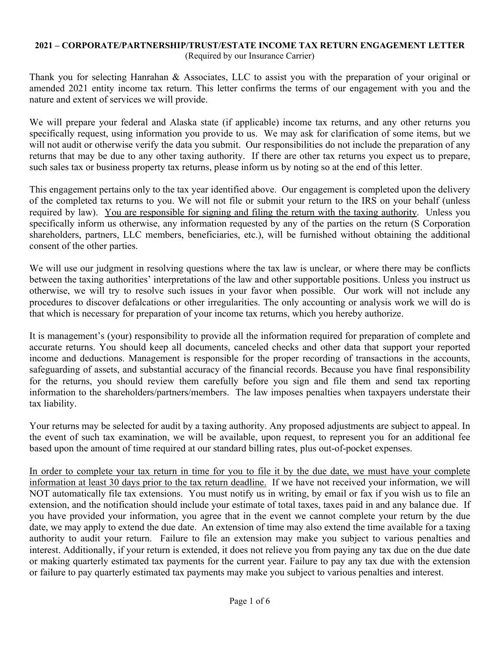## **2021 – CORPORATE/PARTNERSHIP/TRUST/ESTATE INCOME TAX RETURN ENGAGEMENT LETTER**  (Required by our Insurance Carrier)

Thank you for selecting Hanrahan & Associates, LLC to assist you with the preparation of your original or amended 2021 entity income tax return. This letter confirms the terms of our engagement with you and the nature and extent of services we will provide.

We will prepare your federal and Alaska state (if applicable) income tax returns, and any other returns you specifically request, using information you provide to us. We may ask for clarification of some items, but we will not audit or otherwise verify the data you submit. Our responsibilities do not include the preparation of any returns that may be due to any other taxing authority. If there are other tax returns you expect us to prepare, such sales tax or business property tax returns, please inform us by noting so at the end of this letter.

This engagement pertains only to the tax year identified above. Our engagement is completed upon the delivery of the completed tax returns to you. We will not file or submit your return to the IRS on your behalf (unless required by law). You are responsible for signing and filing the return with the taxing authority. Unless you specifically inform us otherwise, any information requested by any of the parties on the return (S Corporation shareholders, partners, LLC members, beneficiaries, etc.), will be furnished without obtaining the additional consent of the other parties.

We will use our judgment in resolving questions where the tax law is unclear, or where there may be conflicts between the taxing authorities' interpretations of the law and other supportable positions. Unless you instruct us otherwise, we will try to resolve such issues in your favor when possible. Our work will not include any procedures to discover defalcations or other irregularities. The only accounting or analysis work we will do is that which is necessary for preparation of your income tax returns, which you hereby authorize.

It is management's (your) responsibility to provide all the information required for preparation of complete and accurate returns. You should keep all documents, canceled checks and other data that support your reported income and deductions. Management is responsible for the proper recording of transactions in the accounts, safeguarding of assets, and substantial accuracy of the financial records. Because you have final responsibility for the returns, you should review them carefully before you sign and file them and send tax reporting information to the shareholders/partners/members. The law imposes penalties when taxpayers understate their tax liability.

Your returns may be selected for audit by a taxing authority. Any proposed adjustments are subject to appeal. In the event of such tax examination, we will be available, upon request, to represent you for an additional fee based upon the amount of time required at our standard billing rates, plus out-of-pocket expenses.

In order to complete your tax return in time for you to file it by the due date, we must have your complete information at least 30 days prior to the tax return deadline. If we have not received your information, we will NOT automatically file tax extensions. You must notify us in writing, by email or fax if you wish us to file an extension, and the notification should include your estimate of total taxes, taxes paid in and any balance due. If you have provided your information, you agree that in the event we cannot complete your return by the due date, we may apply to extend the due date. An extension of time may also extend the time available for a taxing authority to audit your return. Failure to file an extension may make you subject to various penalties and interest. Additionally, if your return is extended, it does not relieve you from paying any tax due on the due date or making quarterly estimated tax payments for the current year. Failure to pay any tax due with the extension or failure to pay quarterly estimated tax payments may make you subject to various penalties and interest.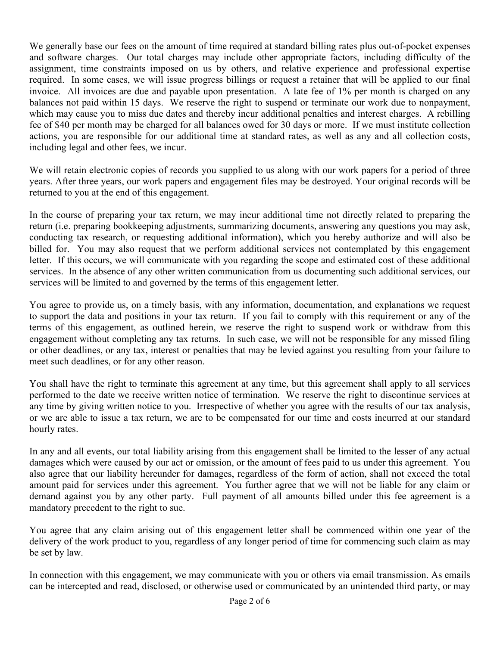We generally base our fees on the amount of time required at standard billing rates plus out-of-pocket expenses and software charges. Our total charges may include other appropriate factors, including difficulty of the assignment, time constraints imposed on us by others, and relative experience and professional expertise required. In some cases, we will issue progress billings or request a retainer that will be applied to our final invoice. All invoices are due and payable upon presentation. A late fee of 1% per month is charged on any balances not paid within 15 days. We reserve the right to suspend or terminate our work due to nonpayment, which may cause you to miss due dates and thereby incur additional penalties and interest charges. A rebilling fee of \$40 per month may be charged for all balances owed for 30 days or more. If we must institute collection actions, you are responsible for our additional time at standard rates, as well as any and all collection costs, including legal and other fees, we incur.

We will retain electronic copies of records you supplied to us along with our work papers for a period of three years. After three years, our work papers and engagement files may be destroyed. Your original records will be returned to you at the end of this engagement.

In the course of preparing your tax return, we may incur additional time not directly related to preparing the return (i.e. preparing bookkeeping adjustments, summarizing documents, answering any questions you may ask, conducting tax research, or requesting additional information), which you hereby authorize and will also be billed for. You may also request that we perform additional services not contemplated by this engagement letter. If this occurs, we will communicate with you regarding the scope and estimated cost of these additional services. In the absence of any other written communication from us documenting such additional services, our services will be limited to and governed by the terms of this engagement letter.

You agree to provide us, on a timely basis, with any information, documentation, and explanations we request to support the data and positions in your tax return. If you fail to comply with this requirement or any of the terms of this engagement, as outlined herein, we reserve the right to suspend work or withdraw from this engagement without completing any tax returns. In such case, we will not be responsible for any missed filing or other deadlines, or any tax, interest or penalties that may be levied against you resulting from your failure to meet such deadlines, or for any other reason.

You shall have the right to terminate this agreement at any time, but this agreement shall apply to all services performed to the date we receive written notice of termination. We reserve the right to discontinue services at any time by giving written notice to you. Irrespective of whether you agree with the results of our tax analysis, or we are able to issue a tax return, we are to be compensated for our time and costs incurred at our standard hourly rates.

In any and all events, our total liability arising from this engagement shall be limited to the lesser of any actual damages which were caused by our act or omission, or the amount of fees paid to us under this agreement. You also agree that our liability hereunder for damages, regardless of the form of action, shall not exceed the total amount paid for services under this agreement. You further agree that we will not be liable for any claim or demand against you by any other party. Full payment of all amounts billed under this fee agreement is a mandatory precedent to the right to sue.

You agree that any claim arising out of this engagement letter shall be commenced within one year of the delivery of the work product to you, regardless of any longer period of time for commencing such claim as may be set by law.

In connection with this engagement, we may communicate with you or others via email transmission. As emails can be intercepted and read, disclosed, or otherwise used or communicated by an unintended third party, or may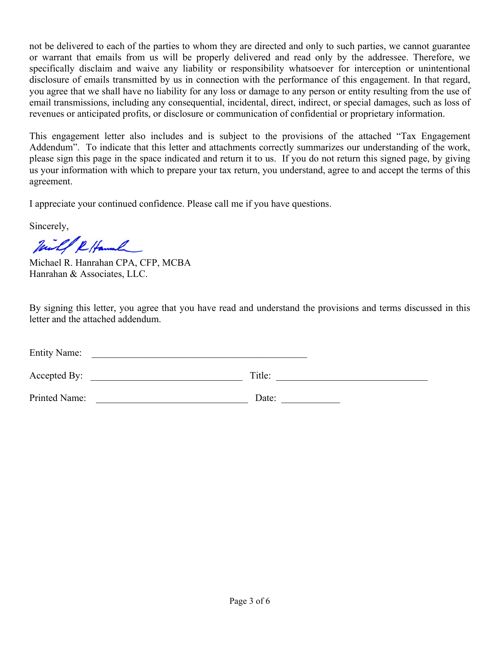not be delivered to each of the parties to whom they are directed and only to such parties, we cannot guarantee or warrant that emails from us will be properly delivered and read only by the addressee. Therefore, we specifically disclaim and waive any liability or responsibility whatsoever for interception or unintentional disclosure of emails transmitted by us in connection with the performance of this engagement. In that regard, you agree that we shall have no liability for any loss or damage to any person or entity resulting from the use of email transmissions, including any consequential, incidental, direct, indirect, or special damages, such as loss of revenues or anticipated profits, or disclosure or communication of confidential or proprietary information.

This engagement letter also includes and is subject to the provisions of the attached "Tax Engagement Addendum". To indicate that this letter and attachments correctly summarizes our understanding of the work, please sign this page in the space indicated and return it to us. If you do not return this signed page, by giving us your information with which to prepare your tax return, you understand, agree to and accept the terms of this agreement.

I appreciate your continued confidence. Please call me if you have questions.

Sincerely,

Will & Hamml

Michael R. Hanrahan CPA, CFP, MCBA Hanrahan & Associates, LLC.

By signing this letter, you agree that you have read and understand the provisions and terms discussed in this letter and the attached addendum.

| <b>Entity Name:</b> |        |  |
|---------------------|--------|--|
| Accepted By:        | Title: |  |
| Printed Name:       | Date:  |  |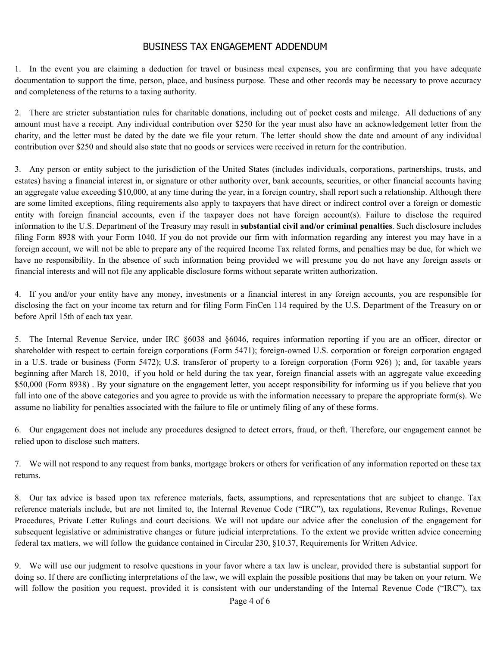## BUSINESS TAX ENGAGEMENT ADDENDUM

1. In the event you are claiming a deduction for travel or business meal expenses, you are confirming that you have adequate documentation to support the time, person, place, and business purpose. These and other records may be necessary to prove accuracy and completeness of the returns to a taxing authority.

2. There are stricter substantiation rules for charitable donations, including out of pocket costs and mileage. All deductions of any amount must have a receipt. Any individual contribution over \$250 for the year must also have an acknowledgement letter from the charity, and the letter must be dated by the date we file your return. The letter should show the date and amount of any individual contribution over \$250 and should also state that no goods or services were received in return for the contribution.

3. Any person or entity subject to the jurisdiction of the United States (includes individuals, corporations, partnerships, trusts, and estates) having a financial interest in, or signature or other authority over, bank accounts, securities, or other financial accounts having an aggregate value exceeding \$10,000, at any time during the year, in a foreign country, shall report such a relationship. Although there are some limited exceptions, filing requirements also apply to taxpayers that have direct or indirect control over a foreign or domestic entity with foreign financial accounts, even if the taxpayer does not have foreign account(s). Failure to disclose the required information to the U.S. Department of the Treasury may result in **substantial civil and/or criminal penalties**. Such disclosure includes filing Form 8938 with your Form 1040. If you do not provide our firm with information regarding any interest you may have in a foreign account, we will not be able to prepare any of the required Income Tax related forms, and penalties may be due, for which we have no responsibility. In the absence of such information being provided we will presume you do not have any foreign assets or financial interests and will not file any applicable disclosure forms without separate written authorization.

4. If you and/or your entity have any money, investments or a financial interest in any foreign accounts, you are responsible for disclosing the fact on your income tax return and for filing Form FinCen 114 required by the U.S. Department of the Treasury on or before April 15th of each tax year.

5. The Internal Revenue Service, under IRC §6038 and §6046, requires information reporting if you are an officer, director or shareholder with respect to certain foreign corporations (Form 5471); foreign-owned U.S. corporation or foreign corporation engaged in a U.S. trade or business (Form 5472); U.S. transferor of property to a foreign corporation (Form 926) ); and, for taxable years beginning after March 18, 2010, if you hold or held during the tax year, foreign financial assets with an aggregate value exceeding \$50,000 (Form 8938). By your signature on the engagement letter, you accept responsibility for informing us if you believe that you fall into one of the above categories and you agree to provide us with the information necessary to prepare the appropriate form(s). We assume no liability for penalties associated with the failure to file or untimely filing of any of these forms.

6. Our engagement does not include any procedures designed to detect errors, fraud, or theft. Therefore, our engagement cannot be relied upon to disclose such matters.

7. We will not respond to any request from banks, mortgage brokers or others for verification of any information reported on these tax returns.

8. Our tax advice is based upon tax reference materials, facts, assumptions, and representations that are subject to change. Tax reference materials include, but are not limited to, the Internal Revenue Code ("IRC"), tax regulations, Revenue Rulings, Revenue Procedures, Private Letter Rulings and court decisions. We will not update our advice after the conclusion of the engagement for subsequent legislative or administrative changes or future judicial interpretations. To the extent we provide written advice concerning federal tax matters, we will follow the guidance contained in Circular 230, §10.37, Requirements for Written Advice.

9. We will use our judgment to resolve questions in your favor where a tax law is unclear, provided there is substantial support for doing so. If there are conflicting interpretations of the law, we will explain the possible positions that may be taken on your return. We will follow the position you request, provided it is consistent with our understanding of the Internal Revenue Code ("IRC"), tax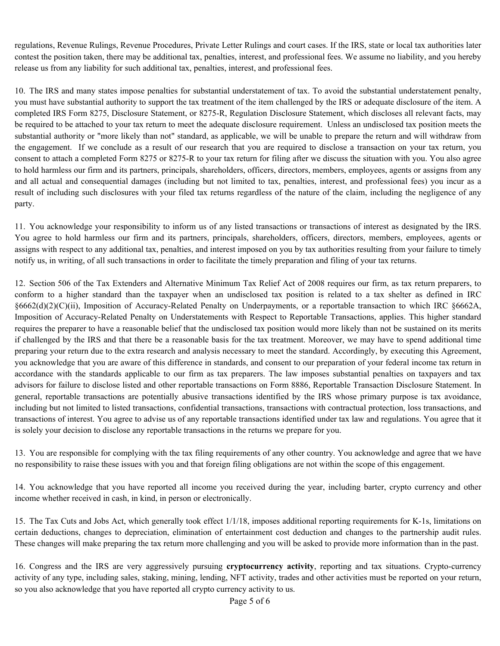regulations, Revenue Rulings, Revenue Procedures, Private Letter Rulings and court cases. If the IRS, state or local tax authorities later contest the position taken, there may be additional tax, penalties, interest, and professional fees. We assume no liability, and you hereby release us from any liability for such additional tax, penalties, interest, and professional fees.

10. The IRS and many states impose penalties for substantial understatement of tax. To avoid the substantial understatement penalty, you must have substantial authority to support the tax treatment of the item challenged by the IRS or adequate disclosure of the item. A completed IRS Form 8275, Disclosure Statement, or 8275-R, Regulation Disclosure Statement, which discloses all relevant facts, may be required to be attached to your tax return to meet the adequate disclosure requirement. Unless an undisclosed tax position meets the substantial authority or "more likely than not" standard, as applicable, we will be unable to prepare the return and will withdraw from the engagement. If we conclude as a result of our research that you are required to disclose a transaction on your tax return, you consent to attach a completed Form 8275 or 8275-R to your tax return for filing after we discuss the situation with you. You also agree to hold harmless our firm and its partners, principals, shareholders, officers, directors, members, employees, agents or assigns from any and all actual and consequential damages (including but not limited to tax, penalties, interest, and professional fees) you incur as a result of including such disclosures with your filed tax returns regardless of the nature of the claim, including the negligence of any party.

11. You acknowledge your responsibility to inform us of any listed transactions or transactions of interest as designated by the IRS. You agree to hold harmless our firm and its partners, principals, shareholders, officers, directors, members, employees, agents or assigns with respect to any additional tax, penalties, and interest imposed on you by tax authorities resulting from your failure to timely notify us, in writing, of all such transactions in order to facilitate the timely preparation and filing of your tax returns.

12. Section 506 of the Tax Extenders and Alternative Minimum Tax Relief Act of 2008 requires our firm, as tax return preparers, to conform to a higher standard than the taxpayer when an undisclosed tax position is related to a tax shelter as defined in IRC §6662(d)(2)(C)(ii), Imposition of Accuracy-Related Penalty on Underpayments, or a reportable transaction to which IRC §6662A, Imposition of Accuracy-Related Penalty on Understatements with Respect to Reportable Transactions, applies. This higher standard requires the preparer to have a reasonable belief that the undisclosed tax position would more likely than not be sustained on its merits if challenged by the IRS and that there be a reasonable basis for the tax treatment. Moreover, we may have to spend additional time preparing your return due to the extra research and analysis necessary to meet the standard. Accordingly, by executing this Agreement, you acknowledge that you are aware of this difference in standards, and consent to our preparation of your federal income tax return in accordance with the standards applicable to our firm as tax preparers. The law imposes substantial penalties on taxpayers and tax advisors for failure to disclose listed and other reportable transactions on Form 8886, Reportable Transaction Disclosure Statement. In general, reportable transactions are potentially abusive transactions identified by the IRS whose primary purpose is tax avoidance, including but not limited to listed transactions, confidential transactions, transactions with contractual protection, loss transactions, and transactions of interest. You agree to advise us of any reportable transactions identified under tax law and regulations. You agree that it is solely your decision to disclose any reportable transactions in the returns we prepare for you.

13. You are responsible for complying with the tax filing requirements of any other country. You acknowledge and agree that we have no responsibility to raise these issues with you and that foreign filing obligations are not within the scope of this engagement.

14. You acknowledge that you have reported all income you received during the year, including barter, crypto currency and other income whether received in cash, in kind, in person or electronically.

15. The Tax Cuts and Jobs Act, which generally took effect 1/1/18, imposes additional reporting requirements for K-1s, limitations on certain deductions, changes to depreciation, elimination of entertainment cost deduction and changes to the partnership audit rules. These changes will make preparing the tax return more challenging and you will be asked to provide more information than in the past.

16. Congress and the IRS are very aggressively pursuing **cryptocurrency activity**, reporting and tax situations. Crypto-currency activity of any type, including sales, staking, mining, lending, NFT activity, trades and other activities must be reported on your return, so you also acknowledge that you have reported all crypto currency activity to us.